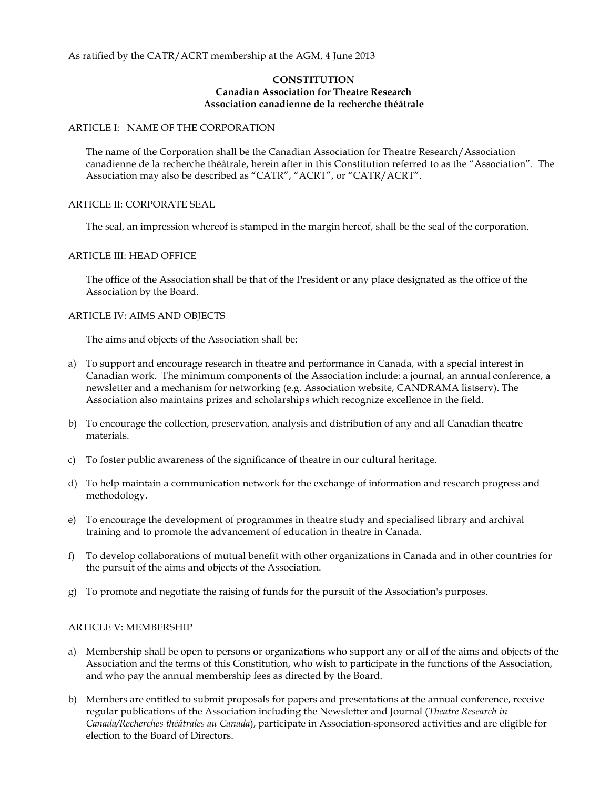#### As ratified by the CATR/ACRT membership at the AGM, 4 June 2013

#### **CONSTITUTION Canadian Association for Theatre Research Association canadienne de la recherche théâtrale**

#### ARTICLE I: NAME OF THE CORPORATION

The name of the Corporation shall be the Canadian Association for Theatre Research/Association canadienne de la recherche théâtrale, herein after in this Constitution referred to as the "Association". The Association may also be described as "CATR", "ACRT", or "CATR/ACRT".

### ARTICLE II: CORPORATE SEAL

The seal, an impression whereof is stamped in the margin hereof, shall be the seal of the corporation.

#### ARTICLE III: HEAD OFFICE

The office of the Association shall be that of the President or any place designated as the office of the Association by the Board.

#### ARTICLE IV: AIMS AND OBJECTS

The aims and objects of the Association shall be:

- a) To support and encourage research in theatre and performance in Canada, with a special interest in Canadian work. The minimum components of the Association include: a journal, an annual conference, a newsletter and a mechanism for networking (e.g. Association website, CANDRAMA listserv). The Association also maintains prizes and scholarships which recognize excellence in the field.
- b) To encourage the collection, preservation, analysis and distribution of any and all Canadian theatre materials.
- c) To foster public awareness of the significance of theatre in our cultural heritage.
- d) To help maintain a communication network for the exchange of information and research progress and methodology.
- e) To encourage the development of programmes in theatre study and specialised library and archival training and to promote the advancement of education in theatre in Canada.
- f) To develop collaborations of mutual benefit with other organizations in Canada and in other countries for the pursuit of the aims and objects of the Association.
- g) To promote and negotiate the raising of funds for the pursuit of the Association's purposes.

#### ARTICLE V: MEMBERSHIP

- a) Membership shall be open to persons or organizations who support any or all of the aims and objects of the Association and the terms of this Constitution, who wish to participate in the functions of the Association, and who pay the annual membership fees as directed by the Board.
- b) Members are entitled to submit proposals for papers and presentations at the annual conference, receive regular publications of the Association including the Newsletter and Journal (*Theatre Research in Canada/Recherches théâtrales au Canada*), participate in Association-sponsored activities and are eligible for election to the Board of Directors.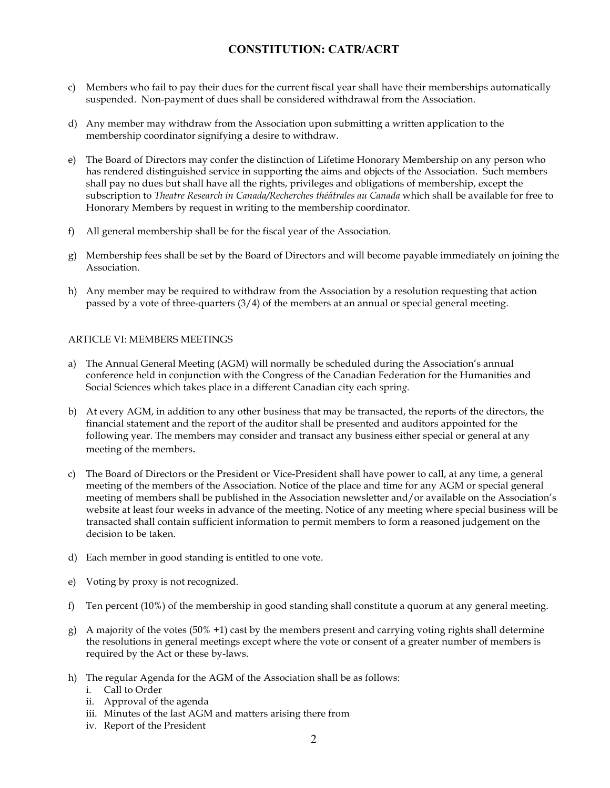- c) Members who fail to pay their dues for the current fiscal year shall have their memberships automatically suspended. Non-payment of dues shall be considered withdrawal from the Association.
- d) Any member may withdraw from the Association upon submitting a written application to the membership coordinator signifying a desire to withdraw.
- e) The Board of Directors may confer the distinction of Lifetime Honorary Membership on any person who has rendered distinguished service in supporting the aims and objects of the Association. Such members shall pay no dues but shall have all the rights, privileges and obligations of membership, except the subscription to *Theatre Research in Canada/Recherches théâtrales au Canada* which shall be available for free to Honorary Members by request in writing to the membership coordinator.
- f) All general membership shall be for the fiscal year of the Association.
- g) Membership fees shall be set by the Board of Directors and will become payable immediately on joining the Association.
- h) Any member may be required to withdraw from the Association by a resolution requesting that action passed by a vote of three-quarters (3/4) of the members at an annual or special general meeting.

## ARTICLE VI: MEMBERS MEETINGS

- a) The Annual General Meeting (AGM) will normally be scheduled during the Association's annual conference held in conjunction with the Congress of the Canadian Federation for the Humanities and Social Sciences which takes place in a different Canadian city each sprin*g.*
- b) At every AGM, in addition to any other business that may be transacted, the reports of the directors, the financial statement and the report of the auditor shall be presented and auditors appointed for the following year. The members may consider and transact any business either special or general at any meeting of the members.
- c) The Board of Directors or the President or Vice-President shall have power to call, at any time, a general meeting of the members of the Association. Notice of the place and time for any AGM or special general meeting of members shall be published in the Association newsletter and/or available on the Association's website at least four weeks in advance of the meeting. Notice of any meeting where special business will be transacted shall contain sufficient information to permit members to form a reasoned judgement on the decision to be taken.
- d) Each member in good standing is entitled to one vote.
- e) Voting by proxy is not recognized.
- f) Ten percent (10%) of the membership in good standing shall constitute a quorum at any general meeting.
- g) A majority of the votes  $(50\% +1)$  cast by the members present and carrying voting rights shall determine the resolutions in general meetings except where the vote or consent of a greater number of members is required by the Act or these by-laws.
- h) The regular Agenda for the AGM of the Association shall be as follows:
	- i. Call to Order
	- ii. Approval of the agenda
	- iii. Minutes of the last AGM and matters arising there from
	- iv. Report of the President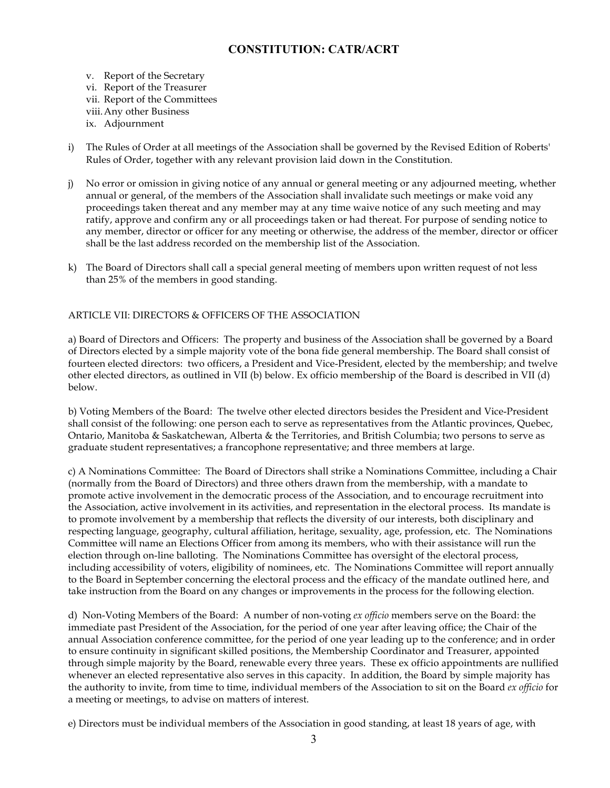- v. Report of the Secretary vi. Report of the Treasurer vii. Report of the Committees viii.Any other Business ix. Adjournment
- i) The Rules of Order at all meetings of the Association shall be governed by the Revised Edition of Roberts' Rules of Order, together with any relevant provision laid down in the Constitution.
- j) No error or omission in giving notice of any annual or general meeting or any adjourned meeting, whether annual or general, of the members of the Association shall invalidate such meetings or make void any proceedings taken thereat and any member may at any time waive notice of any such meeting and may ratify, approve and confirm any or all proceedings taken or had thereat. For purpose of sending notice to any member, director or officer for any meeting or otherwise, the address of the member, director or officer shall be the last address recorded on the membership list of the Association.
- k) The Board of Directors shall call a special general meeting of members upon written request of not less than 25% of the members in good standing.

## ARTICLE VII: DIRECTORS & OFFICERS OF THE ASSOCIATION

a) Board of Directors and Officers: The property and business of the Association shall be governed by a Board of Directors elected by a simple majority vote of the bona fide general membership. The Board shall consist of fourteen elected directors: two officers, a President and Vice-President, elected by the membership; and twelve other elected directors, as outlined in VII (b) below. Ex officio membership of the Board is described in VII (d) below.

b) Voting Members of the Board: The twelve other elected directors besides the President and Vice-President shall consist of the following: one person each to serve as representatives from the Atlantic provinces, Quebec, Ontario, Manitoba & Saskatchewan, Alberta & the Territories, and British Columbia; two persons to serve as graduate student representatives; a francophone representative; and three members at large.

c) A Nominations Committee: The Board of Directors shall strike a Nominations Committee, including a Chair (normally from the Board of Directors) and three others drawn from the membership, with a mandate to promote active involvement in the democratic process of the Association, and to encourage recruitment into the Association, active involvement in its activities, and representation in the electoral process. Its mandate is to promote involvement by a membership that reflects the diversity of our interests, both disciplinary and respecting language, geography, cultural affiliation, heritage, sexuality, age, profession, etc. The Nominations Committee will name an Elections Officer from among its members, who with their assistance will run the election through on-line balloting. The Nominations Committee has oversight of the electoral process, including accessibility of voters, eligibility of nominees, etc. The Nominations Committee will report annually to the Board in September concerning the electoral process and the efficacy of the mandate outlined here, and take instruction from the Board on any changes or improvements in the process for the following election.

d) Non-Voting Members of the Board: A number of non-voting *ex officio* members serve on the Board: the immediate past President of the Association, for the period of one year after leaving office; the Chair of the annual Association conference committee, for the period of one year leading up to the conference; and in order to ensure continuity in significant skilled positions, the Membership Coordinator and Treasurer, appointed through simple majority by the Board, renewable every three years. These ex officio appointments are nullified whenever an elected representative also serves in this capacity. In addition, the Board by simple majority has the authority to invite, from time to time, individual members of the Association to sit on the Board *ex officio* for a meeting or meetings, to advise on matters of interest.

e) Directors must be individual members of the Association in good standing, at least 18 years of age, with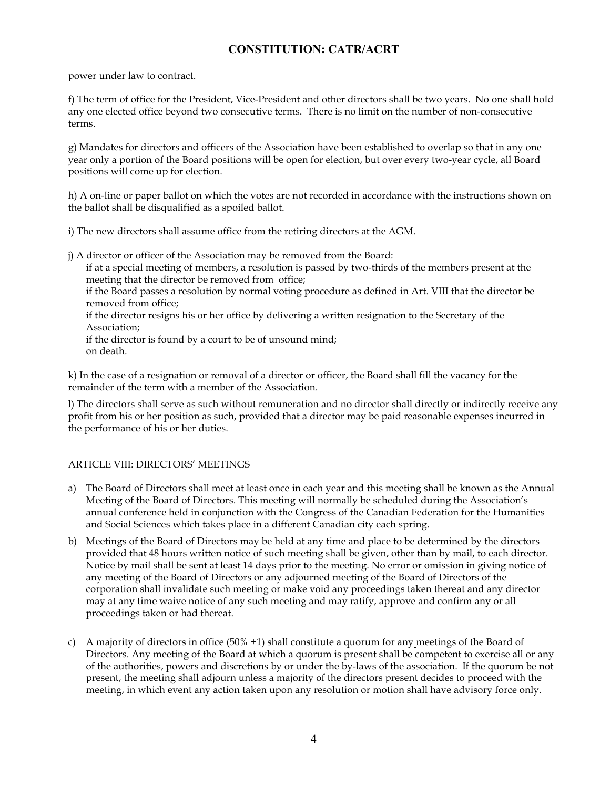power under law to contract.

f) The term of office for the President, Vice-President and other directors shall be two years. No one shall hold any one elected office beyond two consecutive terms. There is no limit on the number of non-consecutive terms.

g) Mandates for directors and officers of the Association have been established to overlap so that in any one year only a portion of the Board positions will be open for election, but over every two-year cycle, all Board positions will come up for election.

h) A on-line or paper ballot on which the votes are not recorded in accordance with the instructions shown on the ballot shall be disqualified as a spoiled ballot.

i) The new directors shall assume office from the retiring directors at the AGM.

- j) A director or officer of the Association may be removed from the Board:
	- if at a special meeting of members, a resolution is passed by two-thirds of the members present at the meeting that the director be removed from office;

if the Board passes a resolution by normal voting procedure as defined in Art. VIII that the director be removed from office;

if the director resigns his or her office by delivering a written resignation to the Secretary of the Association;

if the director is found by a court to be of unsound mind; on death.

k) In the case of a resignation or removal of a director or officer, the Board shall fill the vacancy for the remainder of the term with a member of the Association.

l) The directors shall serve as such without remuneration and no director shall directly or indirectly receive any profit from his or her position as such, provided that a director may be paid reasonable expenses incurred in the performance of his or her duties.

## ARTICLE VIII: DIRECTORS' MEETINGS

- a) The Board of Directors shall meet at least once in each year and this meeting shall be known as the Annual Meeting of the Board of Directors. This meeting will normally be scheduled during the Association's annual conference held in conjunction with the Congress of the Canadian Federation for the Humanities and Social Sciences which takes place in a different Canadian city each spring.
- b) Meetings of the Board of Directors may be held at any time and place to be determined by the directors provided that 48 hours written notice of such meeting shall be given, other than by mail, to each director. Notice by mail shall be sent at least 14 days prior to the meeting. No error or omission in giving notice of any meeting of the Board of Directors or any adjourned meeting of the Board of Directors of the corporation shall invalidate such meeting or make void any proceedings taken thereat and any director may at any time waive notice of any such meeting and may ratify, approve and confirm any or all proceedings taken or had thereat.
- c) A majority of directors in office (50% +1) shall constitute a quorum for any meetings of the Board of Directors. Any meeting of the Board at which a quorum is present shall be competent to exercise all or any of the authorities, powers and discretions by or under the by-laws of the association. If the quorum be not present, the meeting shall adjourn unless a majority of the directors present decides to proceed with the meeting, in which event any action taken upon any resolution or motion shall have advisory force only.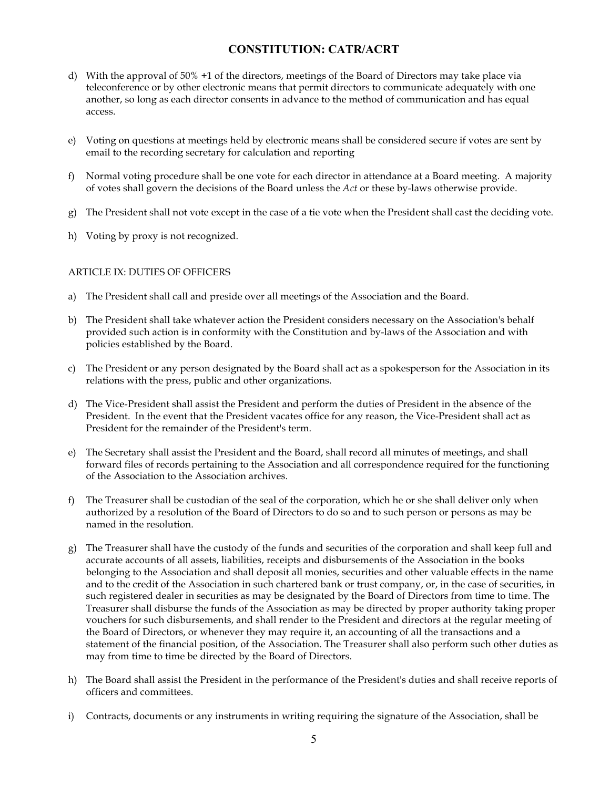- d) With the approval of 50% +1 of the directors, meetings of the Board of Directors may take place via teleconference or by other electronic means that permit directors to communicate adequately with one another, so long as each director consents in advance to the method of communication and has equal access.
- e) Voting on questions at meetings held by electronic means shall be considered secure if votes are sent by email to the recording secretary for calculation and reporting
- f) Normal voting procedure shall be one vote for each director in attendance at a Board meeting. A majority of votes shall govern the decisions of the Board unless the *Act* or these by-laws otherwise provide.
- g) The President shall not vote except in the case of a tie vote when the President shall cast the deciding vote.
- h) Voting by proxy is not recognized.

### ARTICLE IX: DUTIES OF OFFICERS

- a) The President shall call and preside over all meetings of the Association and the Board.
- b) The President shall take whatever action the President considers necessary on the Association's behalf provided such action is in conformity with the Constitution and by-laws of the Association and with policies established by the Board.
- c) The President or any person designated by the Board shall act as a spokesperson for the Association in its relations with the press, public and other organizations.
- d) The Vice-President shall assist the President and perform the duties of President in the absence of the President. In the event that the President vacates office for any reason, the Vice-President shall act as President for the remainder of the President's term.
- e) The Secretary shall assist the President and the Board, shall record all minutes of meetings, and shall forward files of records pertaining to the Association and all correspondence required for the functioning of the Association to the Association archives.
- f) The Treasurer shall be custodian of the seal of the corporation, which he or she shall deliver only when authorized by a resolution of the Board of Directors to do so and to such person or persons as may be named in the resolution.
- g) The Treasurer shall have the custody of the funds and securities of the corporation and shall keep full and accurate accounts of all assets, liabilities, receipts and disbursements of the Association in the books belonging to the Association and shall deposit all monies, securities and other valuable effects in the name and to the credit of the Association in such chartered bank or trust company, or, in the case of securities, in such registered dealer in securities as may be designated by the Board of Directors from time to time. The Treasurer shall disburse the funds of the Association as may be directed by proper authority taking proper vouchers for such disbursements, and shall render to the President and directors at the regular meeting of the Board of Directors, or whenever they may require it, an accounting of all the transactions and a statement of the financial position, of the Association. The Treasurer shall also perform such other duties as may from time to time be directed by the Board of Directors.
- h) The Board shall assist the President in the performance of the President's duties and shall receive reports of officers and committees.
- i) Contracts, documents or any instruments in writing requiring the signature of the Association, shall be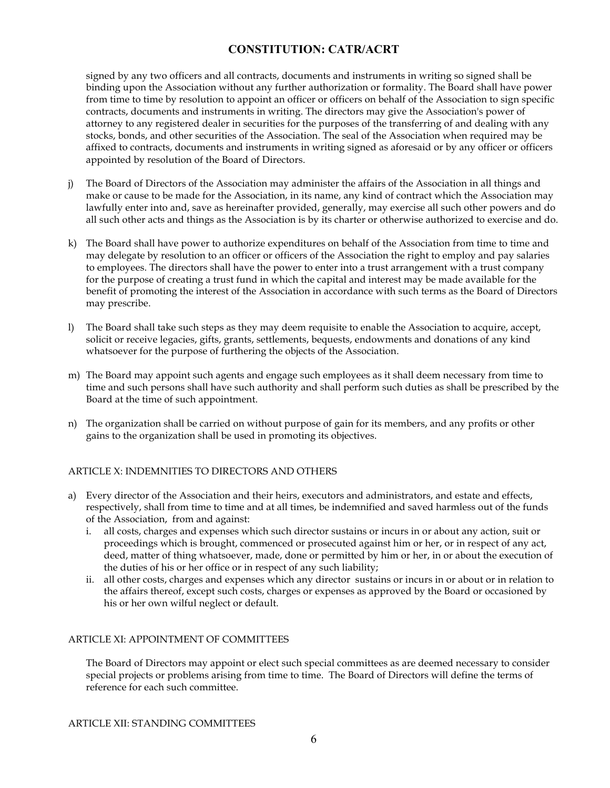signed by any two officers and all contracts, documents and instruments in writing so signed shall be binding upon the Association without any further authorization or formality. The Board shall have power from time to time by resolution to appoint an officer or officers on behalf of the Association to sign specific contracts, documents and instruments in writing. The directors may give the Association's power of attorney to any registered dealer in securities for the purposes of the transferring of and dealing with any stocks, bonds, and other securities of the Association. The seal of the Association when required may be affixed to contracts, documents and instruments in writing signed as aforesaid or by any officer or officers appointed by resolution of the Board of Directors.

- j) The Board of Directors of the Association may administer the affairs of the Association in all things and make or cause to be made for the Association, in its name, any kind of contract which the Association may lawfully enter into and, save as hereinafter provided, generally, may exercise all such other powers and do all such other acts and things as the Association is by its charter or otherwise authorized to exercise and do.
- k) The Board shall have power to authorize expenditures on behalf of the Association from time to time and may delegate by resolution to an officer or officers of the Association the right to employ and pay salaries to employees. The directors shall have the power to enter into a trust arrangement with a trust company for the purpose of creating a trust fund in which the capital and interest may be made available for the benefit of promoting the interest of the Association in accordance with such terms as the Board of Directors may prescribe.
- l) The Board shall take such steps as they may deem requisite to enable the Association to acquire, accept, solicit or receive legacies, gifts, grants, settlements, bequests, endowments and donations of any kind whatsoever for the purpose of furthering the objects of the Association.
- m) The Board may appoint such agents and engage such employees as it shall deem necessary from time to time and such persons shall have such authority and shall perform such duties as shall be prescribed by the Board at the time of such appointment.
- n) The organization shall be carried on without purpose of gain for its members, and any profits or other gains to the organization shall be used in promoting its objectives.

## ARTICLE X: INDEMNITIES TO DIRECTORS AND OTHERS

- a) Every director of the Association and their heirs, executors and administrators, and estate and effects, respectively, shall from time to time and at all times, be indemnified and saved harmless out of the funds of the Association, from and against:
	- i. all costs, charges and expenses which such director sustains or incurs in or about any action, suit or proceedings which is brought, commenced or prosecuted against him or her, or in respect of any act, deed, matter of thing whatsoever, made, done or permitted by him or her, in or about the execution of the duties of his or her office or in respect of any such liability;
	- ii. all other costs, charges and expenses which any director sustains or incurs in or about or in relation to the affairs thereof, except such costs, charges or expenses as approved by the Board or occasioned by his or her own wilful neglect or default.

#### ARTICLE XI: APPOINTMENT OF COMMITTEES

The Board of Directors may appoint or elect such special committees as are deemed necessary to consider special projects or problems arising from time to time. The Board of Directors will define the terms of reference for each such committee.

ARTICLE XII: STANDING COMMITTEES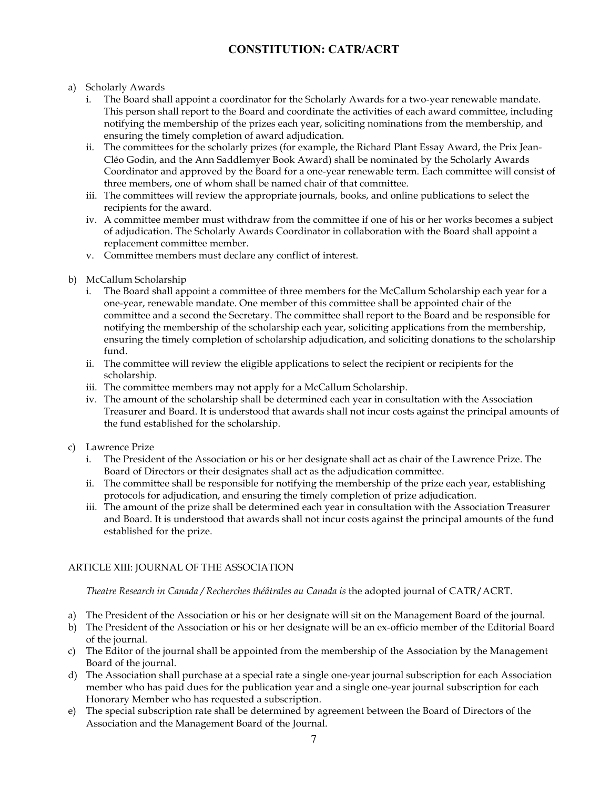- a) Scholarly Awards
	- i. The Board shall appoint a coordinator for the Scholarly Awards for a two-year renewable mandate. This person shall report to the Board and coordinate the activities of each award committee, including notifying the membership of the prizes each year, soliciting nominations from the membership, and ensuring the timely completion of award adjudication.
	- ii. The committees for the scholarly prizes (for example, the Richard Plant Essay Award, the Prix Jean-Cléo Godin, and the Ann Saddlemyer Book Award) shall be nominated by the Scholarly Awards Coordinator and approved by the Board for a one-year renewable term. Each committee will consist of three members, one of whom shall be named chair of that committee.
	- iii. The committees will review the appropriate journals, books, and online publications to select the recipients for the award.
	- iv. A committee member must withdraw from the committee if one of his or her works becomes a subject of adjudication. The Scholarly Awards Coordinator in collaboration with the Board shall appoint a replacement committee member.
	- v. Committee members must declare any conflict of interest.
- b) McCallum Scholarship
	- i. The Board shall appoint a committee of three members for the McCallum Scholarship each year for a one-year, renewable mandate. One member of this committee shall be appointed chair of the committee and a second the Secretary. The committee shall report to the Board and be responsible for notifying the membership of the scholarship each year, soliciting applications from the membership, ensuring the timely completion of scholarship adjudication, and soliciting donations to the scholarship fund.
	- ii. The committee will review the eligible applications to select the recipient or recipients for the scholarship.
	- iii. The committee members may not apply for a McCallum Scholarship.
	- iv. The amount of the scholarship shall be determined each year in consultation with the Association Treasurer and Board. It is understood that awards shall not incur costs against the principal amounts of the fund established for the scholarship.
- c) Lawrence Prize
	- i. The President of the Association or his or her designate shall act as chair of the Lawrence Prize. The Board of Directors or their designates shall act as the adjudication committee.
	- ii. The committee shall be responsible for notifying the membership of the prize each year, establishing protocols for adjudication, and ensuring the timely completion of prize adjudication.
	- iii. The amount of the prize shall be determined each year in consultation with the Association Treasurer and Board. It is understood that awards shall not incur costs against the principal amounts of the fund established for the prize.

## ARTICLE XIII: JOURNAL OF THE ASSOCIATION

*Theatre Research in Canada / Recherches théâtrales au Canada is* the adopted journal of CATR/ACRT.

- a) The President of the Association or his or her designate will sit on the Management Board of the journal.
- b) The President of the Association or his or her designate will be an ex-officio member of the Editorial Board of the journal.
- c) The Editor of the journal shall be appointed from the membership of the Association by the Management Board of the journal.
- d) The Association shall purchase at a special rate a single one-year journal subscription for each Association member who has paid dues for the publication year and a single one-year journal subscription for each Honorary Member who has requested a subscription.
- e) The special subscription rate shall be determined by agreement between the Board of Directors of the Association and the Management Board of the Journal.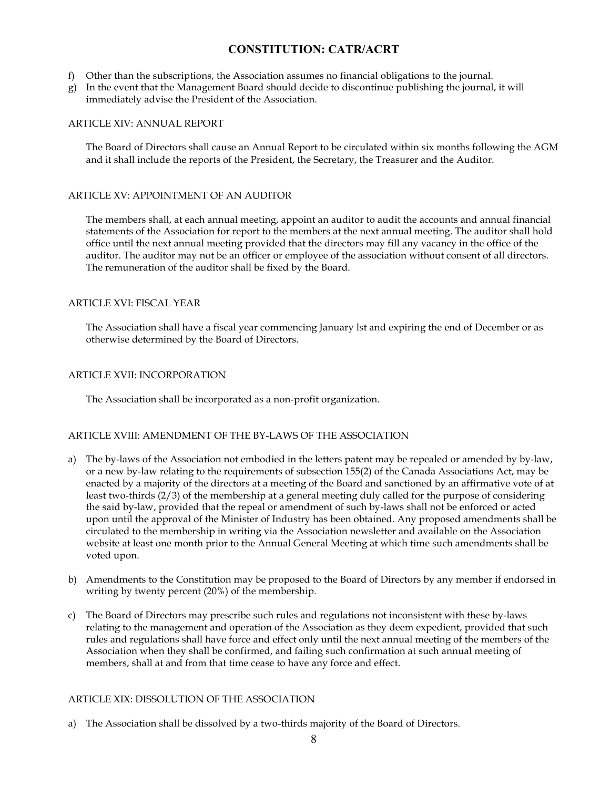- f) Other than the subscriptions, the Association assumes no financial obligations to the journal.
- g) In the event that the Management Board should decide to discontinue publishing the journal, it will immediately advise the President of the Association.

### ARTICLE XIV: ANNUAL REPORT

The Board of Directors shall cause an Annual Report to be circulated within six months following the AGM and it shall include the reports of the President, the Secretary, the Treasurer and the Auditor.

### ARTICLE XV: APPOINTMENT OF AN AUDITOR

The members shall, at each annual meeting, appoint an auditor to audit the accounts and annual financial statements of the Association for report to the members at the next annual meeting. The auditor shall hold office until the next annual meeting provided that the directors may fill any vacancy in the office of the auditor. The auditor may not be an officer or employee of the association without consent of all directors. The remuneration of the auditor shall be fixed by the Board.

### ARTICLE XVI: FISCAL YEAR

The Association shall have a fiscal year commencing January lst and expiring the end of December or as otherwise determined by the Board of Directors.

### ARTICLE XVII: INCORPORATION

The Association shall be incorporated as a non-profit organization.

## ARTICLE XVIII: AMENDMENT OF THE BY-LAWS OF THE ASSOCIATION

- a) The by-laws of the Association not embodied in the letters patent may be repealed or amended by by-law, or a new by-law relating to the requirements of subsection 155(2) of the Canada Associations Act, may be enacted by a majority of the directors at a meeting of the Board and sanctioned by an affirmative vote of at least two-thirds (2/3) of the membership at a general meeting duly called for the purpose of considering the said by-law, provided that the repeal or amendment of such by-laws shall not be enforced or acted upon until the approval of the Minister of Industry has been obtained. Any proposed amendments shall be circulated to the membership in writing via the Association newsletter and available on the Association website at least one month prior to the Annual General Meeting at which time such amendments shall be voted upon.
- b) Amendments to the Constitution may be proposed to the Board of Directors by any member if endorsed in writing by twenty percent (20%) of the membership.
- c) The Board of Directors may prescribe such rules and regulations not inconsistent with these by-laws relating to the management and operation of the Association as they deem expedient, provided that such rules and regulations shall have force and effect only until the next annual meeting of the members of the Association when they shall be confirmed, and failing such confirmation at such annual meeting of members, shall at and from that time cease to have any force and effect.

#### ARTICLE XIX: DISSOLUTION OF THE ASSOCIATION

a) The Association shall be dissolved by a two-thirds majority of the Board of Directors.